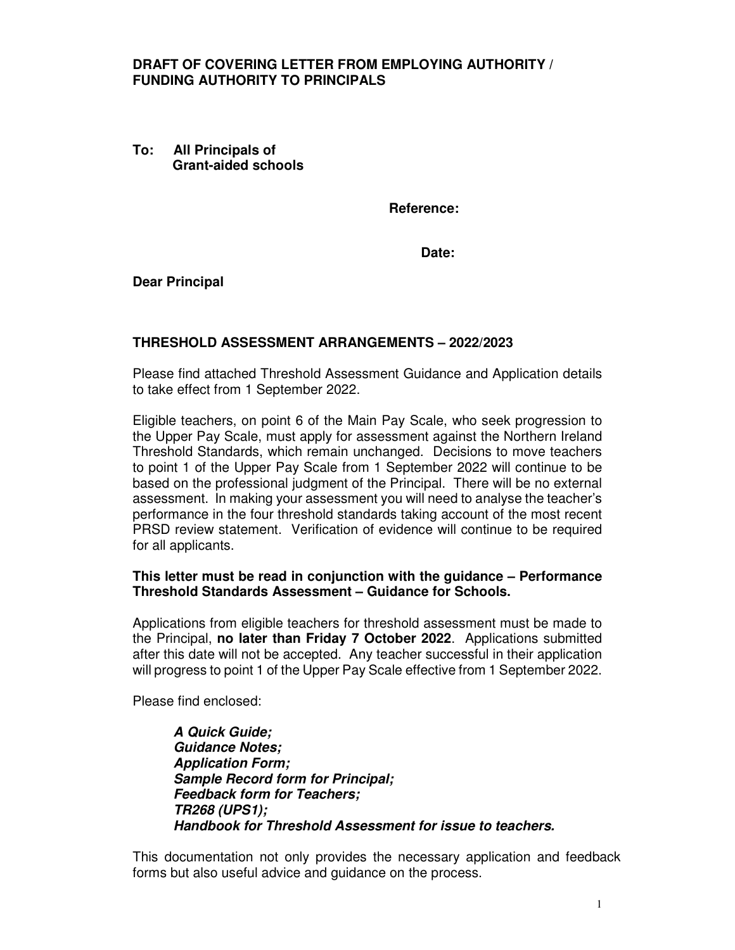## **DRAFT OF COVERING LETTER FROM EMPLOYING AUTHORITY / FUNDING AUTHORITY TO PRINCIPALS**

**To: All Principals of Grant-aided schools** 

**Reference:** 

**Date:** 

**Dear Principal** 

## **THRESHOLD ASSESSMENT ARRANGEMENTS – 2022/2023**

Please find attached Threshold Assessment Guidance and Application details to take effect from 1 September 2022.

Eligible teachers, on point 6 of the Main Pay Scale, who seek progression to the Upper Pay Scale, must apply for assessment against the Northern Ireland Threshold Standards, which remain unchanged. Decisions to move teachers to point 1 of the Upper Pay Scale from 1 September 2022 will continue to be based on the professional judgment of the Principal. There will be no external assessment. In making your assessment you will need to analyse the teacher's performance in the four threshold standards taking account of the most recent PRSD review statement. Verification of evidence will continue to be required for all applicants.

## **This letter must be read in conjunction with the guidance – Performance Threshold Standards Assessment – Guidance for Schools.**

Applications from eligible teachers for threshold assessment must be made to the Principal, **no later than Friday 7 October 2022**. Applications submitted after this date will not be accepted. Any teacher successful in their application will progress to point 1 of the Upper Pay Scale effective from 1 September 2022.

Please find enclosed:

**A Quick Guide; Guidance Notes; Application Form; Sample Record form for Principal; Feedback form for Teachers; TR268 (UPS1); Handbook for Threshold Assessment for issue to teachers.**

This documentation not only provides the necessary application and feedback forms but also useful advice and guidance on the process.